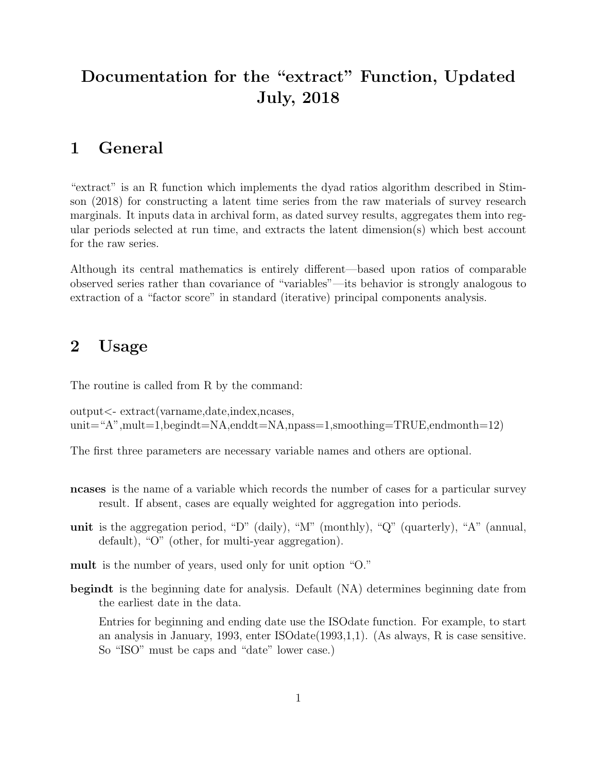# Documentation for the "extract" Function, Updated July, 2018

## 1 General

"extract" is an R function which implements the dyad ratios algorithm described in Stimson (2018) for constructing a latent time series from the raw materials of survey research marginals. It inputs data in archival form, as dated survey results, aggregates them into regular periods selected at run time, and extracts the latent dimension(s) which best account for the raw series.

Although its central mathematics is entirely different—based upon ratios of comparable observed series rather than covariance of "variables"—its behavior is strongly analogous to extraction of a "factor score" in standard (iterative) principal components analysis.

### 2 Usage

The routine is called from R by the command:

output<- extract(varname,date,index,ncases, unit="A",mult=1,begindt=NA,enddt=NA,npass=1,smoothing=TRUE,endmonth=12)

The first three parameters are necessary variable names and others are optional.

- ncases is the name of a variable which records the number of cases for a particular survey result. If absent, cases are equally weighted for aggregation into periods.
- unit is the aggregation period, "D" (daily), "M" (monthly), "Q" (quarterly), "A" (annual, default), "O" (other, for multi-year aggregation).
- mult is the number of years, used only for unit option "O."
- begindt is the beginning date for analysis. Default (NA) determines beginning date from the earliest date in the data.

Entries for beginning and ending date use the ISOdate function. For example, to start an analysis in January, 1993, enter ISOdate(1993,1,1). (As always, R is case sensitive. So "ISO" must be caps and "date" lower case.)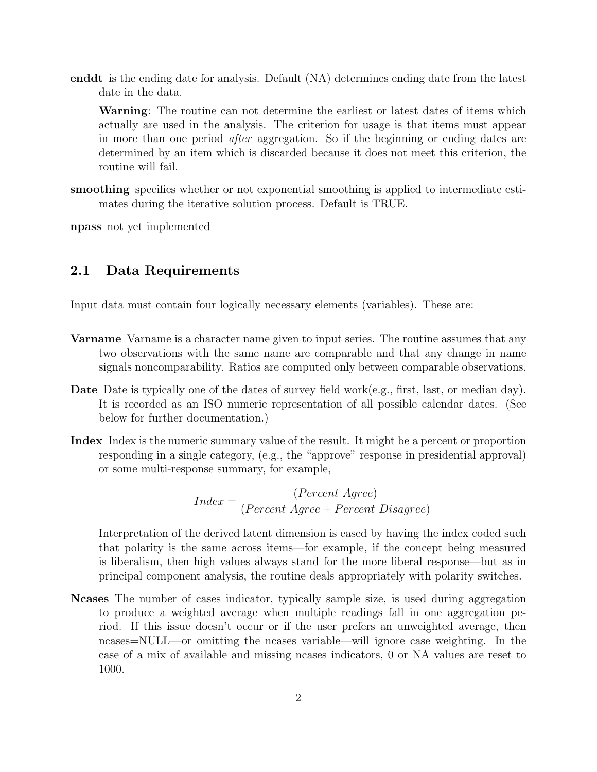enddt is the ending date for analysis. Default (NA) determines ending date from the latest date in the data.

Warning: The routine can not determine the earliest or latest dates of items which actually are used in the analysis. The criterion for usage is that items must appear in more than one period after aggregation. So if the beginning or ending dates are determined by an item which is discarded because it does not meet this criterion, the routine will fail.

smoothing specifies whether or not exponential smoothing is applied to intermediate estimates during the iterative solution process. Default is TRUE.

npass not yet implemented

#### 2.1 Data Requirements

Input data must contain four logically necessary elements (variables). These are:

- Varname Varname is a character name given to input series. The routine assumes that any two observations with the same name are comparable and that any change in name signals noncomparability. Ratios are computed only between comparable observations.
- Date Date is typically one of the dates of survey field work(e.g., first, last, or median day). It is recorded as an ISO numeric representation of all possible calendar dates. (See below for further documentation.)
- Index Index is the numeric summary value of the result. It might be a percent or proportion responding in a single category, (e.g., the "approve" response in presidential approval) or some multi-response summary, for example,

$$
Index = \frac{(Percent \; Agre)}{(Percent \; Agre + Percent \; Disagree)}
$$

Interpretation of the derived latent dimension is eased by having the index coded such that polarity is the same across items—for example, if the concept being measured is liberalism, then high values always stand for the more liberal response—but as in principal component analysis, the routine deals appropriately with polarity switches.

Ncases The number of cases indicator, typically sample size, is used during aggregation to produce a weighted average when multiple readings fall in one aggregation period. If this issue doesn't occur or if the user prefers an unweighted average, then ncases=NULL—or omitting the ncases variable—will ignore case weighting. In the case of a mix of available and missing ncases indicators, 0 or NA values are reset to 1000.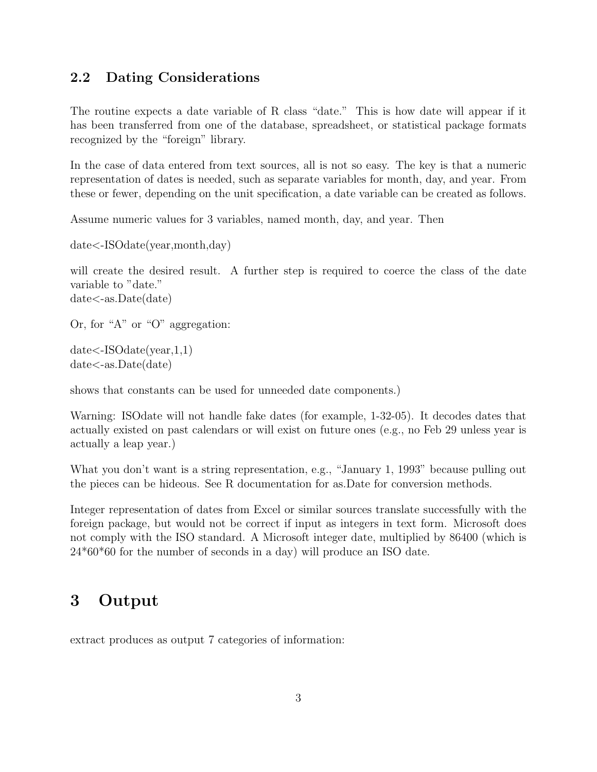### 2.2 Dating Considerations

The routine expects a date variable of R class "date." This is how date will appear if it has been transferred from one of the database, spreadsheet, or statistical package formats recognized by the "foreign" library.

In the case of data entered from text sources, all is not so easy. The key is that a numeric representation of dates is needed, such as separate variables for month, day, and year. From these or fewer, depending on the unit specification, a date variable can be created as follows.

Assume numeric values for 3 variables, named month, day, and year. Then

date<-ISOdate(year,month,day)

will create the desired result. A further step is required to coerce the class of the date variable to "date." date<-as.Date(date)

Or, for "A" or "O" aggregation:

date<-ISOdate(year,1,1) date<-as.Date(date)

shows that constants can be used for unneeded date components.)

Warning: ISOdate will not handle fake dates (for example, 1-32-05). It decodes dates that actually existed on past calendars or will exist on future ones (e.g., no Feb 29 unless year is actually a leap year.)

What you don't want is a string representation, e.g., "January 1, 1993" because pulling out the pieces can be hideous. See R documentation for as.Date for conversion methods.

Integer representation of dates from Excel or similar sources translate successfully with the foreign package, but would not be correct if input as integers in text form. Microsoft does not comply with the ISO standard. A Microsoft integer date, multiplied by 86400 (which is 24\*60\*60 for the number of seconds in a day) will produce an ISO date.

## 3 Output

extract produces as output 7 categories of information: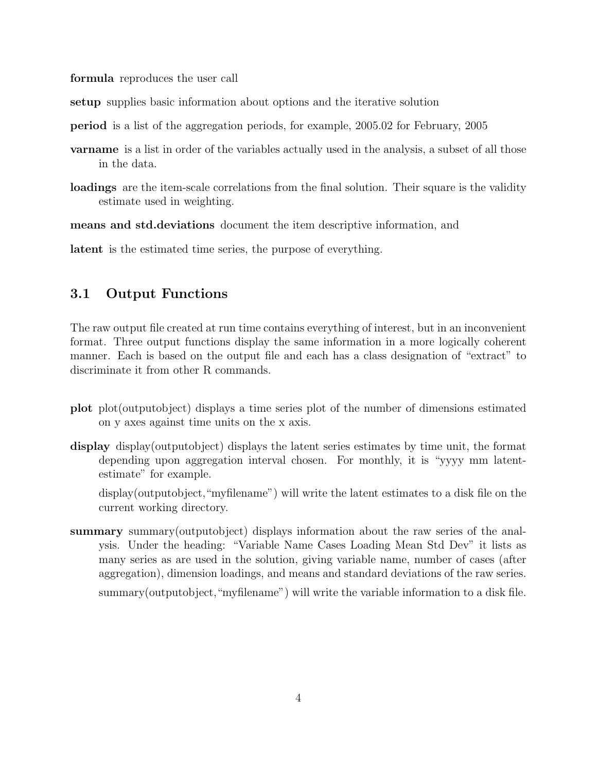formula reproduces the user call

setup supplies basic information about options and the iterative solution

period is a list of the aggregation periods, for example, 2005.02 for February, 2005

- varname is a list in order of the variables actually used in the analysis, a subset of all those in the data.
- loadings are the item-scale correlations from the final solution. Their square is the validity estimate used in weighting.

means and std.deviations document the item descriptive information, and

latent is the estimated time series, the purpose of everything.

#### 3.1 Output Functions

The raw output file created at run time contains everything of interest, but in an inconvenient format. Three output functions display the same information in a more logically coherent manner. Each is based on the output file and each has a class designation of "extract" to discriminate it from other R commands.

- plot plot(outputobject) displays a time series plot of the number of dimensions estimated on y axes against time units on the x axis.
- display display(outputobject) displays the latent series estimates by time unit, the format depending upon aggregation interval chosen. For monthly, it is "yyyy mm latentestimate" for example.

display(outputobject,"myfilename") will write the latent estimates to a disk file on the current working directory.

summary summary(outputobject) displays information about the raw series of the analysis. Under the heading: "Variable Name Cases Loading Mean Std Dev" it lists as many series as are used in the solution, giving variable name, number of cases (after aggregation), dimension loadings, and means and standard deviations of the raw series. summary(outputobject,"myfilename") will write the variable information to a disk file.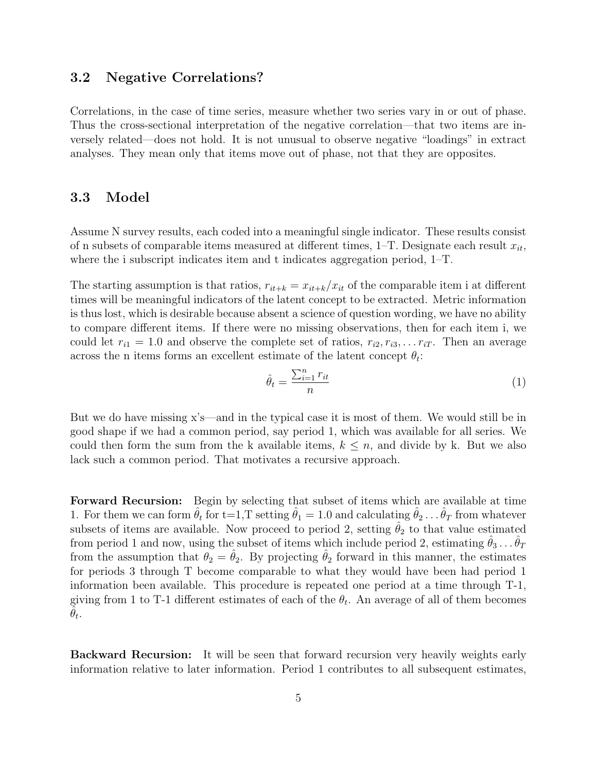#### 3.2 Negative Correlations?

Correlations, in the case of time series, measure whether two series vary in or out of phase. Thus the cross-sectional interpretation of the negative correlation—that two items are inversely related—does not hold. It is not unusual to observe negative "loadings" in extract analyses. They mean only that items move out of phase, not that they are opposites.

#### 3.3 Model

Assume N survey results, each coded into a meaningful single indicator. These results consist of n subsets of comparable items measured at different times,  $1-T$ . Designate each result  $x_{it}$ , where the i subscript indicates item and t indicates aggregation period, 1–T.

The starting assumption is that ratios,  $r_{it+k} = x_{it+k}/x_{it}$  of the comparable item i at different times will be meaningful indicators of the latent concept to be extracted. Metric information is thus lost, which is desirable because absent a science of question wording, we have no ability to compare different items. If there were no missing observations, then for each item i, we could let  $r_{i1} = 1.0$  and observe the complete set of ratios,  $r_{i2}, r_{i3}, \ldots r_{iT}$ . Then an average across the n items forms an excellent estimate of the latent concept  $\theta_t$ :

$$
\hat{\theta}_t = \frac{\sum_{i=1}^n r_{it}}{n} \tag{1}
$$

But we do have missing x's—and in the typical case it is most of them. We would still be in good shape if we had a common period, say period 1, which was available for all series. We could then form the sum from the k available items,  $k \leq n$ , and divide by k. But we also lack such a common period. That motivates a recursive approach.

Forward Recursion: Begin by selecting that subset of items which are available at time 1. For them we can form  $\hat{\theta}_t$  for t=1,T setting  $\hat{\theta}_1 = 1.0$  and calculating  $\hat{\theta}_2 \dots \hat{\theta}_T$  from whatever subsets of items are available. Now proceed to period 2, setting  $\theta_2$  to that value estimated from period 1 and now, using the subset of items which include period 2, estimating  $\hat{\theta}_3 \dots \hat{\theta}_T$ from the assumption that  $\theta_2 = \theta_2$ . By projecting  $\theta_2$  forward in this manner, the estimates for periods 3 through T become comparable to what they would have been had period 1 information been available. This procedure is repeated one period at a time through T-1, giving from 1 to T-1 different estimates of each of the  $\theta_t$ . An average of all of them becomes  $\tilde{\hat{\theta}}_t$ .

Backward Recursion: It will be seen that forward recursion very heavily weights early information relative to later information. Period 1 contributes to all subsequent estimates,